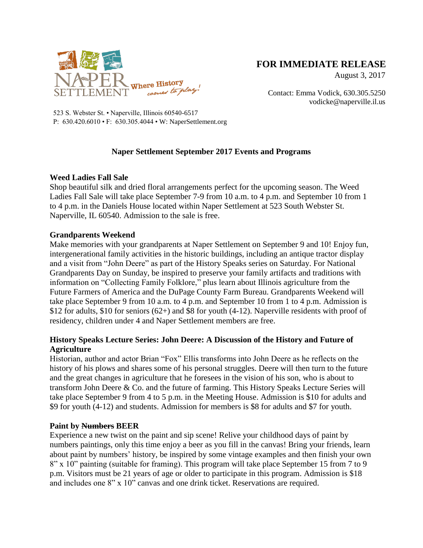

# **FOR IMMEDIATE RELEASE**

August 3, 2017

Contact: Emma Vodick, 630.305.5250 vodicke@naperville.il.us

523 S. Webster St. • Naperville, Illinois 60540-6517 P: 630.420.6010 • F: 630.305.4044 • W: NaperSettlement.org

## **Naper Settlement September 2017 Events and Programs**

### **Weed Ladies Fall Sale**

Shop beautiful silk and dried floral arrangements perfect for the upcoming season. The Weed Ladies Fall Sale will take place September 7-9 from 10 a.m. to 4 p.m. and September 10 from 1 to 4 p.m. in the Daniels House located within Naper Settlement at 523 South Webster St. Naperville, IL 60540. Admission to the sale is free.

### **Grandparents Weekend**

Make memories with your grandparents at Naper Settlement on September 9 and 10! Enjoy fun, intergenerational family activities in the historic buildings, including an antique tractor display and a visit from "John Deere" as part of the History Speaks series on Saturday. For National Grandparents Day on Sunday, be inspired to preserve your family artifacts and traditions with information on "Collecting Family Folklore," plus learn about Illinois agriculture from the Future Farmers of America and the DuPage County Farm Bureau. Grandparents Weekend will take place September 9 from 10 a.m. to 4 p.m. and September 10 from 1 to 4 p.m. Admission is \$12 for adults, \$10 for seniors  $(62+)$  and \$8 for youth  $(4-12)$ . Naperville residents with proof of residency, children under 4 and Naper Settlement members are free.

## **History Speaks Lecture Series: John Deere: A Discussion of the History and Future of Agriculture**

Historian, author and actor Brian "Fox" Ellis transforms into John Deere as he reflects on the history of his plows and shares some of his personal struggles. Deere will then turn to the future and the great changes in agriculture that he foresees in the vision of his son, who is about to transform John Deere & Co. and the future of farming. This History Speaks Lecture Series will take place September 9 from 4 to 5 p.m. in the Meeting House. Admission is \$10 for adults and \$9 for youth (4-12) and students. Admission for members is \$8 for adults and \$7 for youth.

#### **Paint by Numbers BEER**

Experience a new twist on the paint and sip scene! Relive your childhood days of paint by numbers paintings, only this time enjoy a beer as you fill in the canvas! Bring your friends, learn about paint by numbers' history, be inspired by some vintage examples and then finish your own 8" x 10" painting (suitable for framing). This program will take place September 15 from 7 to 9 p.m. Visitors must be 21 years of age or older to participate in this program. Admission is \$18 and includes one 8" x 10" canvas and one drink ticket. Reservations are required.